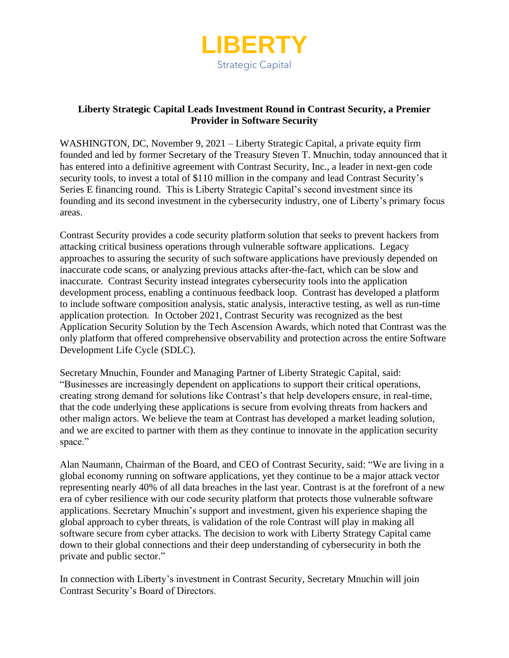

## **Liberty Strategic Capital Leads Investment Round in Contrast Security, a Premier Provider in Software Security**

WASHINGTON, DC, November 9, 2021 – Liberty Strategic Capital, a private equity firm founded and led by former Secretary of the Treasury Steven T. Mnuchin, today announced that it has entered into a definitive agreement with Contrast Security, Inc., a leader in next-gen code security tools, to invest a total of \$110 million in the company and lead Contrast Security's Series E financing round. This is Liberty Strategic Capital's second investment since its founding and its second investment in the cybersecurity industry, one of Liberty's primary focus areas.

Contrast Security provides a code security platform solution that seeks to prevent hackers from attacking critical business operations through vulnerable software applications. Legacy approaches to assuring the security of such software applications have previously depended on inaccurate code scans, or analyzing previous attacks after-the-fact, which can be slow and inaccurate. Contrast Security instead integrates cybersecurity tools into the application development process, enabling a continuous feedback loop. Contrast has developed a platform to include software composition analysis, static analysis, interactive testing, as well as run-time application protection. In October 2021, Contrast Security was recognized as the best Application Security Solution by the Tech Ascension Awards, which noted that Contrast was the only platform that offered comprehensive observability and protection across the entire Software Development Life Cycle (SDLC).

Secretary Mnuchin, Founder and Managing Partner of Liberty Strategic Capital, said: "Businesses are increasingly dependent on applications to support their critical operations, creating strong demand for solutions like Contrast's that help developers ensure, in real-time, that the code underlying these applications is secure from evolving threats from hackers and other malign actors. We believe the team at Contrast has developed a market leading solution, and we are excited to partner with them as they continue to innovate in the application security space."

Alan Naumann, Chairman of the Board, and CEO of Contrast Security, said: "We are living in a global economy running on software applications, yet they continue to be a major attack vector representing nearly 40% of all data breaches in the last year. Contrast is at the forefront of a new era of cyber resilience with our code security platform that protects those vulnerable software applications. Secretary Mnuchin's support and investment, given his experience shaping the global approach to cyber threats, is validation of the role Contrast will play in making all software secure from cyber attacks. The decision to work with Liberty Strategy Capital came down to their global connections and their deep understanding of cybersecurity in both the private and public sector."

In connection with Liberty's investment in Contrast Security, Secretary Mnuchin will join Contrast Security's Board of Directors.